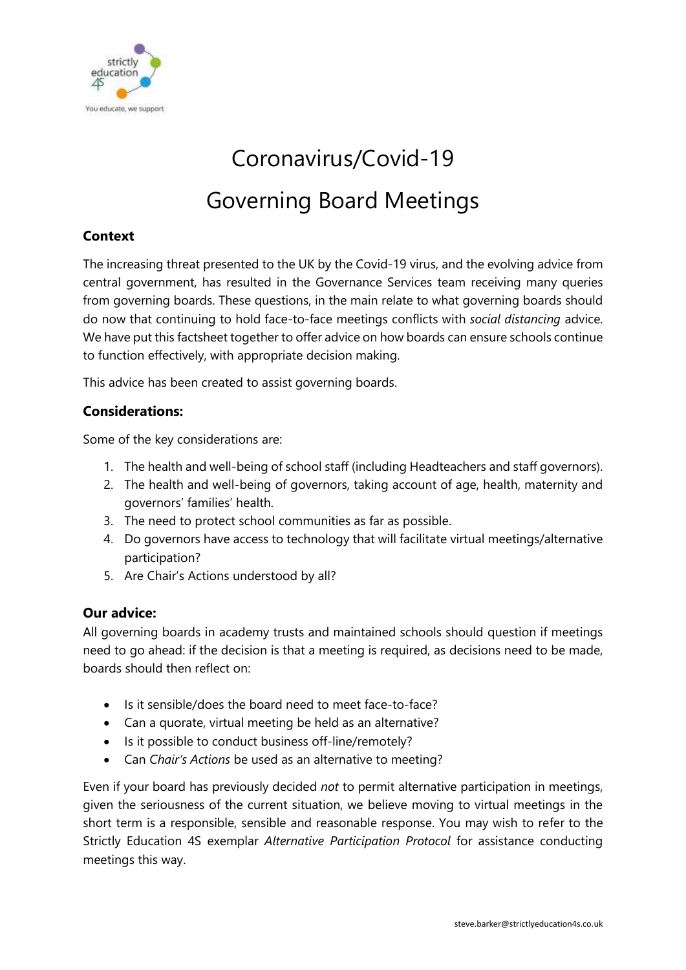

# Coronavirus/Covid-19

# Governing Board Meetings

#### **Context**

The increasing threat presented to the UK by the Covid-19 virus, and the evolving advice from central government, has resulted in the Governance Services team receiving many queries from governing boards. These questions, in the main relate to what governing boards should do now that continuing to hold face-to-face meetings conflicts with *social distancing* advice. We have put this factsheet together to offer advice on how boards can ensure schools continue to function effectively, with appropriate decision making.

This advice has been created to assist governing boards.

#### **Considerations:**

Some of the key considerations are:

- 1. The health and well-being of school staff (including Headteachers and staff governors).
- 2. The health and well-being of governors, taking account of age, health, maternity and governors' families' health.
- 3. The need to protect school communities as far as possible.
- 4. Do governors have access to technology that will facilitate virtual meetings/alternative participation?
- 5. Are Chair's Actions understood by all?

#### **Our advice:**

All governing boards in academy trusts and maintained schools should question if meetings need to go ahead: if the decision is that a meeting is required, as decisions need to be made, boards should then reflect on:

- Is it sensible/does the board need to meet face-to-face?
- Can a quorate, virtual meeting be held as an alternative?
- Is it possible to conduct business off-line/remotely?
- Can *Chair's Actions* be used as an alternative to meeting?

Even if your board has previously decided *not* to permit alternative participation in meetings, given the seriousness of the current situation, we believe moving to virtual meetings in the short term is a responsible, sensible and reasonable response. You may wish to refer to the Strictly Education 4S exemplar *Alternative Participation Protocol* for assistance conducting meetings this way.